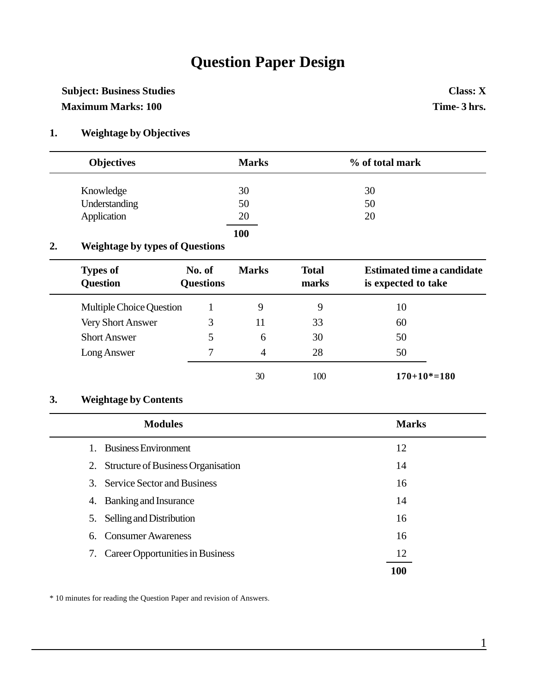## **Question Paper Design**

### **Subject: Business Studies Class: X Maximum Marks: 100 Time- 3 hrs.**

#### **1. Weightage by Objectives**

| <b>Objectives</b> | <b>Marks</b> | % of total mark |  |
|-------------------|--------------|-----------------|--|
| Knowledge         | 30           | 30              |  |
| Understanding     | 50           | 50              |  |
| Application       | 20           | 20              |  |
|                   | 100          |                 |  |

#### **2. Weightage by types of Questions**

| <b>Types of</b><br><b>Question</b> | No. of<br><b>Questions</b> | <b>Marks</b> | <b>Total</b><br>marks | <b>Estimated time a candidate</b><br>is expected to take |
|------------------------------------|----------------------------|--------------|-----------------------|----------------------------------------------------------|
| Multiple Choice Question           |                            | 9            | 9                     | 10                                                       |
| <b>Very Short Answer</b>           | 3                          | 11           | 33                    | 60                                                       |
| <b>Short Answer</b>                | 5                          | 6            | 30                    | 50                                                       |
| Long Answer                        | $\tau$                     | 4            | 28                    | 50                                                       |
|                                    |                            | 30           | 100                   | $170+10*=180$                                            |

#### **3. Weightage by Contents**

|         | <b>Modules</b>                        | <b>Marks</b> |
|---------|---------------------------------------|--------------|
| $1_{-}$ | <b>Business Environment</b>           | 12           |
|         | 2. Structure of Business Organisation | 14           |
|         | 3. Service Sector and Business        | 16           |
|         | 4. Banking and Insurance              | 14           |
|         | 5. Selling and Distribution           | 16           |
|         | 6. Consumer Awareness                 | 16           |
|         | 7. Career Opportunities in Business   | 12           |
|         |                                       | 100          |

\* 10 minutes for reading the Question Paper and revision of Answers.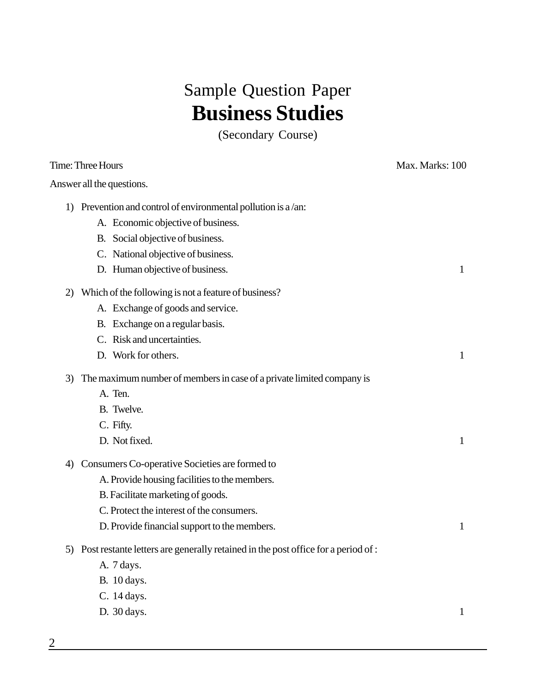# Sample Question Paper **Business Studies**

(Secondary Course)

|    | Time: Three Hours                                                                    | Max. Marks: 100 |
|----|--------------------------------------------------------------------------------------|-----------------|
|    | Answer all the questions.                                                            |                 |
|    | 1) Prevention and control of environmental pollution is $a/an$ :                     |                 |
|    | A. Economic objective of business.                                                   |                 |
|    | B. Social objective of business.                                                     |                 |
|    | C. National objective of business.                                                   |                 |
|    | D. Human objective of business.                                                      | $\mathbf{1}$    |
| 2) | Which of the following is not a feature of business?                                 |                 |
|    | A. Exchange of goods and service.                                                    |                 |
|    | B. Exchange on a regular basis.                                                      |                 |
|    | C. Risk and uncertainties.                                                           |                 |
|    | D. Work for others.                                                                  | 1               |
|    | 3) The maximum number of members in case of a private limited company is             |                 |
|    | A. Ten.                                                                              |                 |
|    | B. Twelve.                                                                           |                 |
|    | C. Fifty.                                                                            |                 |
|    | D. Not fixed.                                                                        | 1               |
| 4) | Consumers Co-operative Societies are formed to                                       |                 |
|    | A. Provide housing facilities to the members.                                        |                 |
|    | B. Facilitate marketing of goods.                                                    |                 |
|    | C. Protect the interest of the consumers.                                            |                 |
|    | D. Provide financial support to the members.                                         | 1               |
|    | 5) Post restante letters are generally retained in the post office for a period of : |                 |
|    | A. 7 days.                                                                           |                 |
|    | B. 10 days.                                                                          |                 |
|    | C. 14 days.                                                                          |                 |
|    | D. 30 days.                                                                          | $\mathbf{1}$    |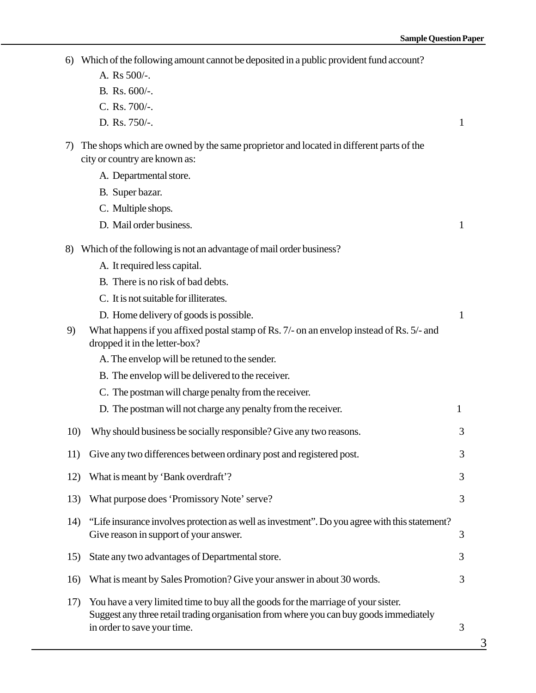| 6)  | Which of the following amount cannot be deposited in a public provident fund account?                                                                                                                       |              |
|-----|-------------------------------------------------------------------------------------------------------------------------------------------------------------------------------------------------------------|--------------|
|     | A. Rs 500/-.                                                                                                                                                                                                |              |
|     | B. Rs. 600/-.                                                                                                                                                                                               |              |
|     | C. Rs. 700/-.                                                                                                                                                                                               |              |
|     | D. Rs. 750/-.                                                                                                                                                                                               | 1            |
| 7)  | The shops which are owned by the same proprietor and located in different parts of the<br>city or country are known as:                                                                                     |              |
|     | A. Departmental store.                                                                                                                                                                                      |              |
|     | B. Super bazar.                                                                                                                                                                                             |              |
|     | C. Multiple shops.                                                                                                                                                                                          |              |
|     | D. Mail order business.                                                                                                                                                                                     | $\mathbf{1}$ |
| 8)  | Which of the following is not an advantage of mail order business?                                                                                                                                          |              |
|     | A. It required less capital.                                                                                                                                                                                |              |
|     | B. There is no risk of bad debts.                                                                                                                                                                           |              |
|     | C. It is not suitable for illiterates.                                                                                                                                                                      |              |
|     | D. Home delivery of goods is possible.                                                                                                                                                                      | $\mathbf{1}$ |
| 9)  | What happens if you affixed postal stamp of Rs. 7/- on an envelop instead of Rs. 5/- and<br>dropped it in the letter-box?                                                                                   |              |
|     | A. The envelop will be retuned to the sender.                                                                                                                                                               |              |
|     | B. The envelop will be delivered to the receiver.                                                                                                                                                           |              |
|     | C. The postman will charge penalty from the receiver.                                                                                                                                                       |              |
|     | D. The postman will not charge any penalty from the receiver.                                                                                                                                               | 1            |
| 10) | Why should business be socially responsible? Give any two reasons.                                                                                                                                          | 3            |
| 11) | Give any two differences between ordinary post and registered post.                                                                                                                                         | 3            |
| 12) | What is meant by 'Bank overdraft'?                                                                                                                                                                          | 3            |
| 13) | What purpose does 'Promissory Note' serve?                                                                                                                                                                  | 3            |
| 14) | "Life insurance involves protection as well as investment". Do you agree with this statement?<br>Give reason in support of your answer.                                                                     | 3            |
| 15) | State any two advantages of Departmental store.                                                                                                                                                             | 3            |
| 16) | What is meant by Sales Promotion? Give your answer in about 30 words.                                                                                                                                       | 3            |
| 17) | You have a very limited time to buy all the goods for the marriage of your sister.<br>Suggest any three retail trading organisation from where you can buy goods immediately<br>in order to save your time. | 3            |

 $\overline{3}$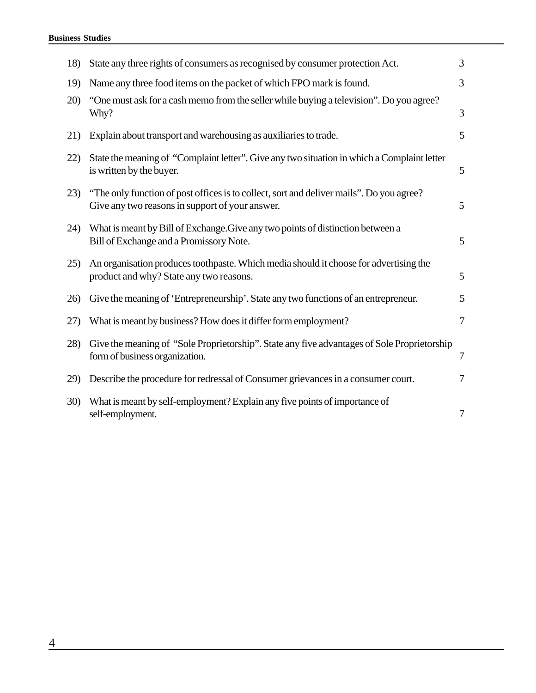| 18)         | State any three rights of consumers as recognised by consumer protection Act.                                                               | 3      |
|-------------|---------------------------------------------------------------------------------------------------------------------------------------------|--------|
| 19)         | Name any three food items on the packet of which FPO mark is found.                                                                         | 3      |
| 20)         | "One must ask for a cash memo from the seller while buying a television". Do you agree?<br>Why?                                             | 3      |
| 21)         | Explain about transport and warehousing as auxiliaries to trade.                                                                            | 5      |
| 22)         | State the meaning of "Complaint letter". Give any two situation in which a Complaint letter<br>is written by the buyer.                     | 5      |
| 23)         | "The only function of post offices is to collect, sort and deliver mails". Do you agree?<br>Give any two reasons in support of your answer. | 5      |
| 24)         | What is meant by Bill of Exchange. Give any two points of distinction between a<br>Bill of Exchange and a Promissory Note.                  | 5      |
| 25)         | An organisation produces toothpaste. Which media should it choose for advertising the<br>product and why? State any two reasons.            | 5      |
| 26)         | Give the meaning of 'Entrepreneurship'. State any two functions of an entrepreneur.                                                         | 5      |
| 27)         | What is meant by business? How does it differ form employment?                                                                              | 7      |
| 28)         | Give the meaning of "Sole Proprietorship". State any five advantages of Sole Proprietorship<br>form of business organization.               | $\tau$ |
| 29)         | Describe the procedure for redressal of Consumer grievances in a consumer court.                                                            | 7      |
| <b>30</b> ) | What is meant by self-employment? Explain any five points of importance of<br>self-employment.                                              | 7      |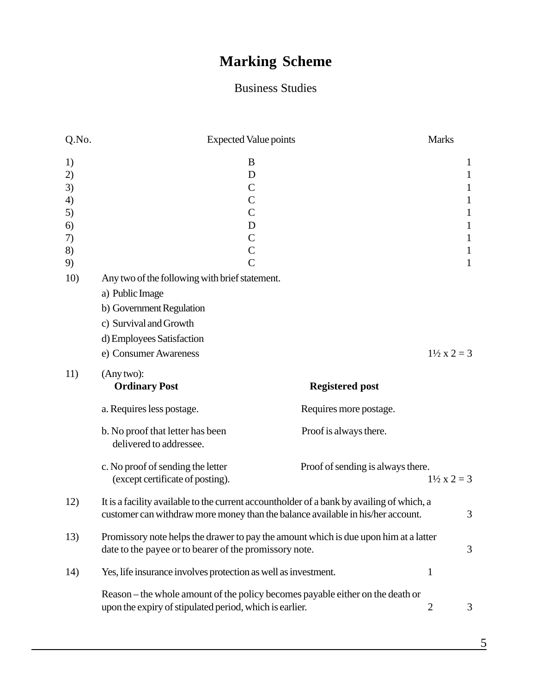## **Marking Scheme**

### Business Studies

| Q.No.                                              | <b>Expected Value points</b>                                                                                                                                                  |                                                                            | <b>Marks</b>                                                                                                           |
|----------------------------------------------------|-------------------------------------------------------------------------------------------------------------------------------------------------------------------------------|----------------------------------------------------------------------------|------------------------------------------------------------------------------------------------------------------------|
| 1)<br>2)<br>3)<br>4)<br>5)<br>6)<br>7)<br>8)<br>9) | B<br>D<br>$\mathcal{C}$<br>$\mathcal{C}$<br>$\mathcal{C}$<br>D<br>$\mathsf{C}$<br>$\mathsf{C}$<br>$\overline{C}$                                                              |                                                                            | 1<br>$\mathbf{1}$<br>1<br>$\mathbf{1}$<br>$\mathbf{1}$<br>$\mathbf{1}$<br>$\mathbf{1}$<br>$\mathbf{1}$<br>$\mathbf{1}$ |
| 10)                                                | Any two of the following with brief statement.<br>a) Public Image<br>b) Government Regulation<br>c) Survival and Growth<br>d) Employees Satisfaction<br>e) Consumer Awareness |                                                                            | $1\frac{1}{2}x^2 = 3$                                                                                                  |
| 11)                                                | (Any two):<br><b>Ordinary Post</b><br>a. Requires less postage.<br>b. No proof that letter has been<br>delivered to addressee.                                                | <b>Registered post</b><br>Requires more postage.<br>Proof is always there. |                                                                                                                        |
|                                                    | c. No proof of sending the letter<br>(except certificate of posting).                                                                                                         | Proof of sending is always there.                                          | $1\frac{1}{2}x^2 = 3$                                                                                                  |
| 12)                                                | It is a facility available to the current accountholder of a bank by availing of which, a<br>customer can withdraw more money than the balance available in his/her account.  |                                                                            | 3                                                                                                                      |
| 13)                                                | Promissory note helps the drawer to pay the amount which is due upon him at a latter<br>date to the payee or to bearer of the promissory note.                                |                                                                            | 3                                                                                                                      |
| 14)                                                | Yes, life insurance involves protection as well as investment.                                                                                                                |                                                                            | $\mathbf{1}$                                                                                                           |
|                                                    | Reason – the whole amount of the policy becomes payable either on the death or<br>upon the expiry of stipulated period, which is earlier.                                     |                                                                            | $\overline{2}$<br>3                                                                                                    |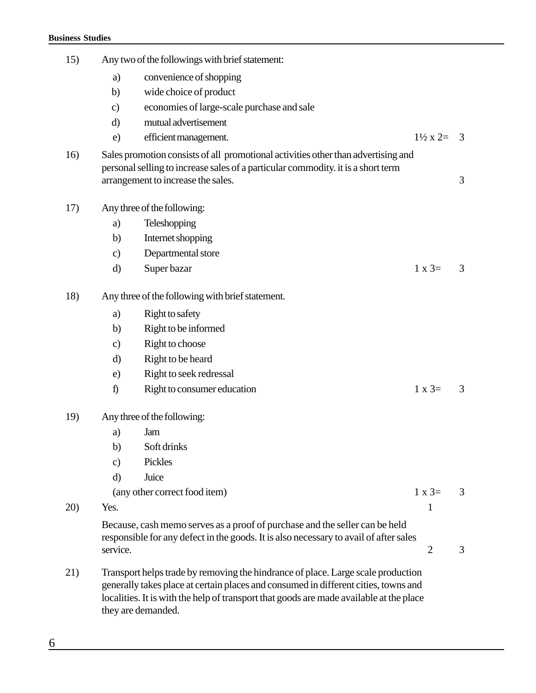| 15) |               | Any two of the followings with brief statement:                                                                                                                                                             |                           |                |
|-----|---------------|-------------------------------------------------------------------------------------------------------------------------------------------------------------------------------------------------------------|---------------------------|----------------|
|     | a)            | convenience of shopping                                                                                                                                                                                     |                           |                |
|     | b)            | wide choice of product                                                                                                                                                                                      |                           |                |
|     | $\mathbf{c})$ | economies of large-scale purchase and sale                                                                                                                                                                  |                           |                |
|     | d)            | mutual advertisement                                                                                                                                                                                        |                           |                |
|     | e)            | efficient management.                                                                                                                                                                                       | $1\frac{1}{2} \times 2 =$ | $\overline{3}$ |
| 16) |               | Sales promotion consists of all promotional activities other than advertising and<br>personal selling to increase sales of a particular commodity, it is a short term<br>arrangement to increase the sales. |                           | 3              |
| 17) |               | Any three of the following:                                                                                                                                                                                 |                           |                |
|     | a)            | Teleshopping                                                                                                                                                                                                |                           |                |
|     | b)            | Internet shopping                                                                                                                                                                                           |                           |                |
|     | $\mathbf{c})$ | Departmental store                                                                                                                                                                                          |                           |                |
|     | d)            | Super bazar                                                                                                                                                                                                 | $1 \times 3=$             | 3              |
| 18) |               | Any three of the following with brief statement.                                                                                                                                                            |                           |                |
|     | a)            | Right to safety                                                                                                                                                                                             |                           |                |
|     | b)            | Right to be informed                                                                                                                                                                                        |                           |                |
|     | $\mathbf{c})$ | Right to choose                                                                                                                                                                                             |                           |                |
|     | d)            | Right to be heard                                                                                                                                                                                           |                           |                |
|     | e)            | Right to seek redressal                                                                                                                                                                                     |                           |                |
|     | f)            | Right to consumer education                                                                                                                                                                                 | $1 \times 3=$             | 3              |
| 19) |               | Any three of the following:                                                                                                                                                                                 |                           |                |
|     | a)            | Jam                                                                                                                                                                                                         |                           |                |
|     | b)            | Soft drinks                                                                                                                                                                                                 |                           |                |
|     | $\mathbf{c})$ | Pickles                                                                                                                                                                                                     |                           |                |
|     | $\mathbf{d}$  | Juice                                                                                                                                                                                                       |                           |                |
|     |               | (any other correct food item)                                                                                                                                                                               | $1 x 3=$                  | 3              |
| 20) | Yes.          |                                                                                                                                                                                                             | 1                         |                |
|     | service.      | Because, cash memo serves as a proof of purchase and the seller can be held<br>responsible for any defect in the goods. It is also necessary to avail of after sales                                        | $\overline{2}$            | 3              |
| 21) |               | Transport helps trade by removing the hindrance of place. Large scale production<br>generally takes place at certain places and consumed in different cities, towns and                                     |                           |                |

localities. It is with the help of transport that goods are made available at the place

they are demanded.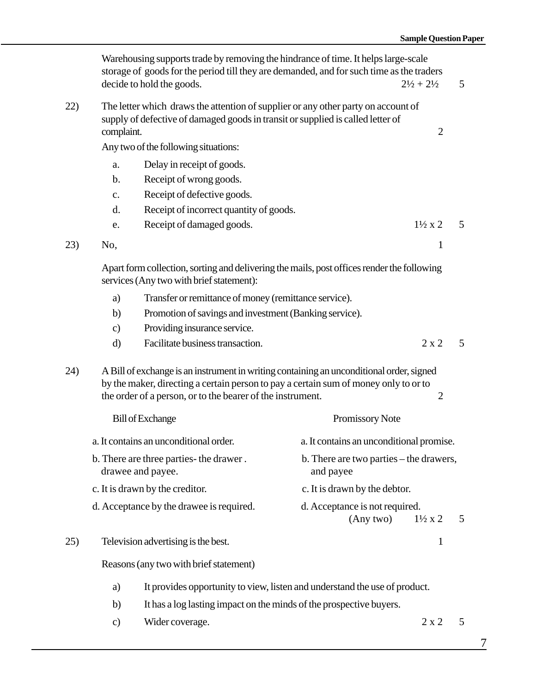|     | Warehousing supports trade by removing the hindrance of time. It helps large-scale<br>storage of goods for the period till they are demanded, and for such time as the traders<br>decide to hold the goods.<br>$2\frac{1}{2} + 2\frac{1}{2}$ |                                                                                                                                                                                                                                                |                                                      | 5                  |   |
|-----|----------------------------------------------------------------------------------------------------------------------------------------------------------------------------------------------------------------------------------------------|------------------------------------------------------------------------------------------------------------------------------------------------------------------------------------------------------------------------------------------------|------------------------------------------------------|--------------------|---|
| 22) | complaint.                                                                                                                                                                                                                                   | The letter which draws the attention of supplier or any other party on account of<br>supply of defective of damaged goods in transit or supplied is called letter of                                                                           |                                                      | $\overline{2}$     |   |
|     |                                                                                                                                                                                                                                              | Any two of the following situations:                                                                                                                                                                                                           |                                                      |                    |   |
|     | a.                                                                                                                                                                                                                                           | Delay in receipt of goods.                                                                                                                                                                                                                     |                                                      |                    |   |
|     | $\mathbf b$ .                                                                                                                                                                                                                                | Receipt of wrong goods.                                                                                                                                                                                                                        |                                                      |                    |   |
|     | $\mathbf{c}$ .                                                                                                                                                                                                                               | Receipt of defective goods.                                                                                                                                                                                                                    |                                                      |                    |   |
|     | d.                                                                                                                                                                                                                                           | Receipt of incorrect quantity of goods.                                                                                                                                                                                                        |                                                      |                    |   |
|     | e.                                                                                                                                                                                                                                           | Receipt of damaged goods.                                                                                                                                                                                                                      |                                                      | $1\frac{1}{2} x 2$ | 5 |
| 23) | No,                                                                                                                                                                                                                                          |                                                                                                                                                                                                                                                |                                                      | 1                  |   |
|     | Apart form collection, sorting and delivering the mails, post offices render the following<br>services (Any two with brief statement):                                                                                                       |                                                                                                                                                                                                                                                |                                                      |                    |   |
|     | Transfer or remittance of money (remittance service).<br>a)                                                                                                                                                                                  |                                                                                                                                                                                                                                                |                                                      |                    |   |
|     | b)                                                                                                                                                                                                                                           | Promotion of savings and investment (Banking service).                                                                                                                                                                                         |                                                      |                    |   |
|     | $\mathbf{c})$                                                                                                                                                                                                                                | Providing insurance service.                                                                                                                                                                                                                   |                                                      |                    |   |
|     | d)                                                                                                                                                                                                                                           | Facilitate business transaction.                                                                                                                                                                                                               |                                                      | $2 \times 2$       | 5 |
| 24) |                                                                                                                                                                                                                                              | A Bill of exchange is an instrument in writing containing an unconditional order, signed<br>by the maker, directing a certain person to pay a certain sum of money only to or to<br>the order of a person, or to the bearer of the instrument. |                                                      | $\overline{2}$     |   |
|     |                                                                                                                                                                                                                                              | <b>Bill of Exchange</b>                                                                                                                                                                                                                        | Promissory Note                                      |                    |   |
|     |                                                                                                                                                                                                                                              | a. It contains an unconditional order.                                                                                                                                                                                                         | a. It contains an unconditional promise.             |                    |   |
|     | b. There are three parties- the drawer.<br>drawee and payee.                                                                                                                                                                                 |                                                                                                                                                                                                                                                | b. There are two parties – the drawers,<br>and payee |                    |   |
|     |                                                                                                                                                                                                                                              | c. It is drawn by the creditor.                                                                                                                                                                                                                | c. It is drawn by the debtor.                        |                    |   |
|     |                                                                                                                                                                                                                                              | d. Acceptance by the drawee is required.                                                                                                                                                                                                       | d. Acceptance is not required.<br>(Any two)          | $1\frac{1}{2} x 2$ | 5 |
| 25) |                                                                                                                                                                                                                                              | Television advertising is the best.                                                                                                                                                                                                            |                                                      | $\mathbf{1}$       |   |

Reasons (any two with brief statement)

- a) It provides opportunity to view, listen and understand the use of product.
- b) It has a log lasting impact on the minds of the prospective buyers.
- c) Wider coverage. 2 x 2 5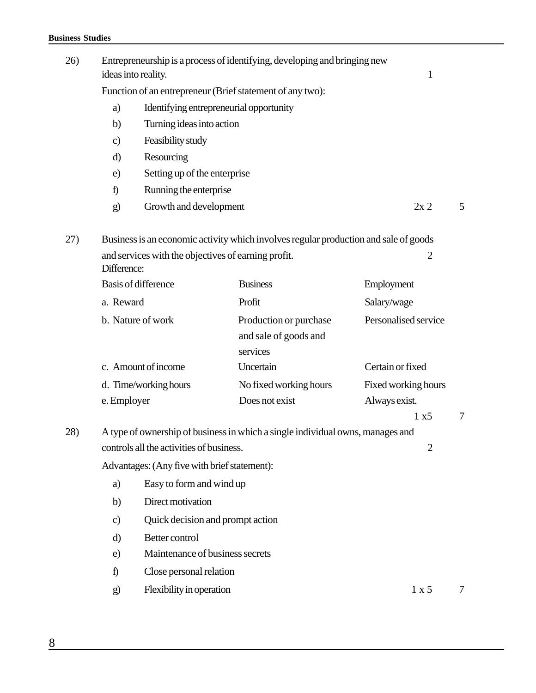#### **Business Studies**

| 26) |                       | Entrepreneurship is a process of identifying, developing and bringing new<br>ideas into reality.<br>1 |                                                                                      |                      |        |  |
|-----|-----------------------|-------------------------------------------------------------------------------------------------------|--------------------------------------------------------------------------------------|----------------------|--------|--|
|     |                       | Function of an entrepreneur (Brief statement of any two):                                             |                                                                                      |                      |        |  |
|     | a)                    | Identifying entrepreneurial opportunity                                                               |                                                                                      |                      |        |  |
|     | b)                    | Turning ideas into action                                                                             |                                                                                      |                      |        |  |
|     | $\mathbf{c}$          | Feasibility study                                                                                     |                                                                                      |                      |        |  |
|     | d)                    | Resourcing                                                                                            |                                                                                      |                      |        |  |
|     | e)                    | Setting up of the enterprise                                                                          |                                                                                      |                      |        |  |
|     | $\hat{D}$             | Running the enterprise                                                                                |                                                                                      |                      |        |  |
|     | g)                    | Growth and development                                                                                |                                                                                      | 2x2                  | 5      |  |
| 27) |                       |                                                                                                       | Business is an economic activity which involves regular production and sale of goods |                      |        |  |
|     | Difference:           | and services with the objectives of earning profit.                                                   |                                                                                      | $\overline{2}$       |        |  |
|     |                       | <b>Basis of difference</b>                                                                            | <b>Business</b>                                                                      | Employment           |        |  |
|     | a. Reward             |                                                                                                       | Profit                                                                               | Salary/wage          |        |  |
|     |                       | b. Nature of work                                                                                     | Production or purchase<br>and sale of goods and<br>services                          | Personalised service |        |  |
|     |                       | c. Amount of income                                                                                   | Uncertain                                                                            | Certain or fixed     |        |  |
|     | d. Time/working hours |                                                                                                       | No fixed working hours                                                               | Fixed working hours  |        |  |
|     | e. Employer           |                                                                                                       | Does not exist                                                                       | Always exist.        |        |  |
|     |                       |                                                                                                       |                                                                                      | 1 x 5                | $\tau$ |  |
| 28) |                       | controls all the activities of business.                                                              | A type of ownership of business in which a single individual owns, manages and       | $\overline{2}$       |        |  |
|     |                       | Advantages: (Any five with brief statement):                                                          |                                                                                      |                      |        |  |
|     | a)                    | Easy to form and wind up                                                                              |                                                                                      |                      |        |  |
|     | b)                    | Direct motivation                                                                                     |                                                                                      |                      |        |  |
|     | $\mathbf{c}$          | Quick decision and prompt action                                                                      |                                                                                      |                      |        |  |
|     | d)                    | Better control                                                                                        |                                                                                      |                      |        |  |
|     | e)                    | Maintenance of business secrets                                                                       |                                                                                      |                      |        |  |
|     | f)                    | Close personal relation                                                                               |                                                                                      |                      |        |  |
|     | $\mathbf{g}$          | Flexibility in operation                                                                              |                                                                                      | 1 x 5                | 7      |  |
|     |                       |                                                                                                       |                                                                                      |                      |        |  |